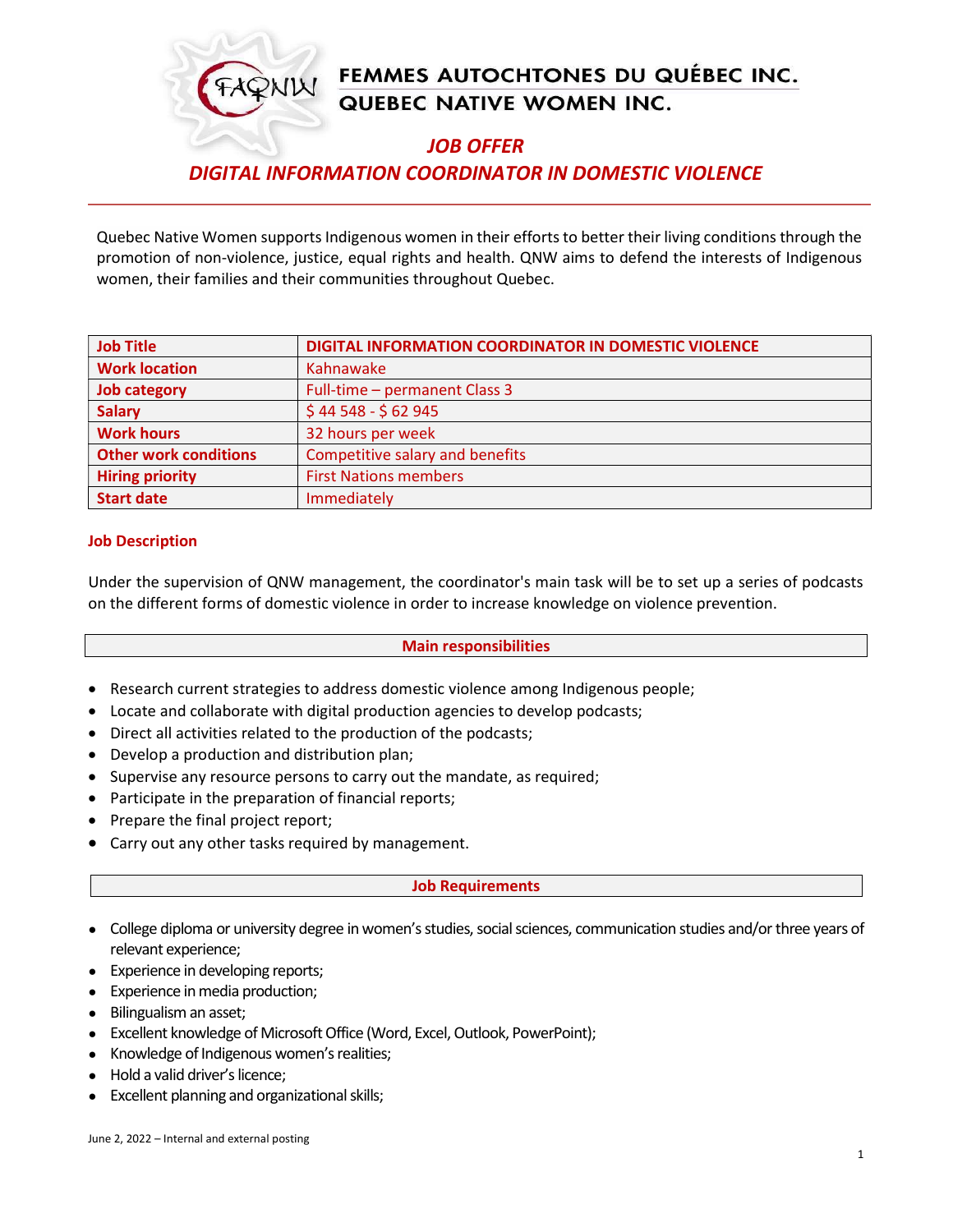# FEMMES AUTOCHTONES DU QUÉBEC INC. QUEBEC NATIVE WOMEN INC.

# JOB OFFER

# DIGITAL INFORMATION COORDINATOR IN DOMESTIC VIOLENCE

Quebec Native Women supports Indigenous women in their efforts to better their living conditions through the promotion of non-violence, justice, equal rights and health. QNW aims to defend the interests of Indigenous women, their families and their communities throughout Quebec.

| <b>Job Title</b>             | DIGITAL INFORMATION COORDINATOR IN DOMESTIC VIOLENCE |
|------------------------------|------------------------------------------------------|
| <b>Work location</b>         | Kahnawake                                            |
| <b>Job category</b>          | Full-time - permanent Class 3                        |
| <b>Salary</b>                | $$44548 - $62945$                                    |
| <b>Work hours</b>            | 32 hours per week                                    |
| <b>Other work conditions</b> | Competitive salary and benefits                      |
| <b>Hiring priority</b>       | <b>First Nations members</b>                         |
| <b>Start date</b>            | Immediately                                          |

#### Job Description

Under the supervision of QNW management, the coordinator's main task will be to set up a series of podcasts on the different forms of domestic violence in order to increase knowledge on violence prevention.

#### Main responsibilities

- Research current strategies to address domestic violence among Indigenous people;
- Locate and collaborate with digital production agencies to develop podcasts;
- Direct all activities related to the production of the podcasts;
- Develop a production and distribution plan;
- Supervise any resource persons to carry out the mandate, as required;
- Participate in the preparation of financial reports;
- Prepare the final project report;
- Carry out any other tasks required by management.

#### Job Requirements

- College diploma or university degree in women's studies, social sciences, communication studies and/or three years of relevant experience;
- Experience in developing reports;
- Experience in media production;
- Bilingualism an asset;
- Excellent knowledge of Microsoft Office (Word, Excel, Outlook, PowerPoint);
- Knowledge of Indigenous women's realities;
- Hold a valid driver's licence;
- Excellent planning and organizational skills;